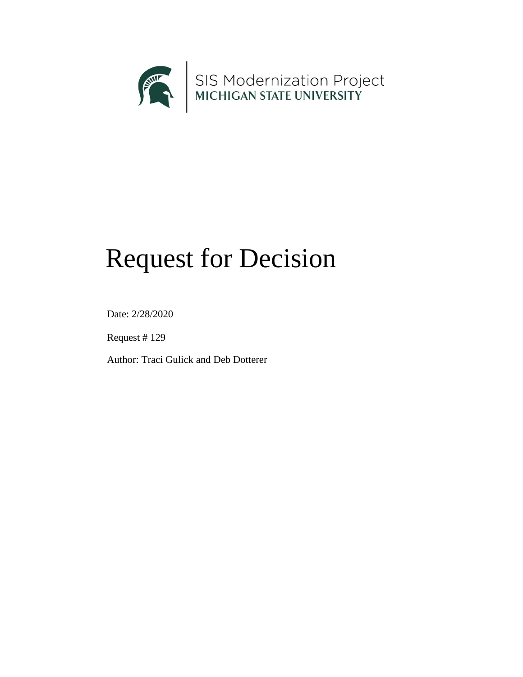

# Request for Decision

Date: 2/28/2020

Request # 129

Author: Traci Gulick and Deb Dotterer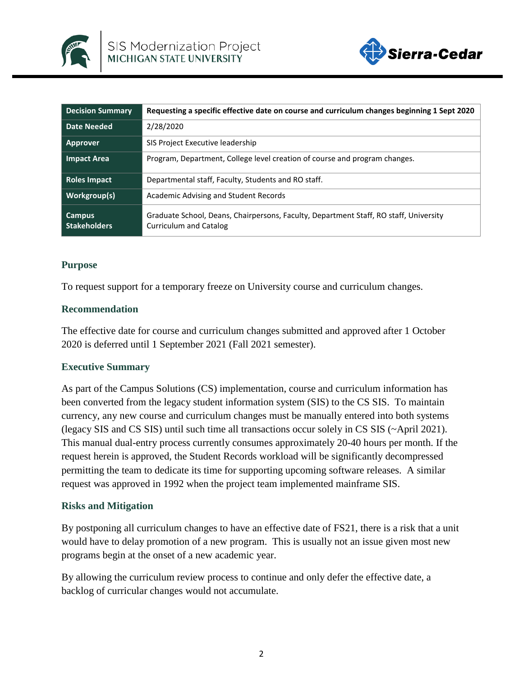



| <b>Decision Summary</b>              | Requesting a specific effective date on course and curriculum changes beginning 1 Sept 2020                            |
|--------------------------------------|------------------------------------------------------------------------------------------------------------------------|
| Date Needed                          | 2/28/2020                                                                                                              |
| Approver                             | SIS Project Executive leadership                                                                                       |
| <b>Impact Area</b>                   | Program, Department, College level creation of course and program changes.                                             |
| <b>Roles Impact</b>                  | Departmental staff, Faculty, Students and RO staff.                                                                    |
| Workgroup(s)                         | Academic Advising and Student Records                                                                                  |
| <b>Campus</b><br><b>Stakeholders</b> | Graduate School, Deans, Chairpersons, Faculty, Department Staff, RO staff, University<br><b>Curriculum and Catalog</b> |

### **Purpose**

To request support for a temporary freeze on University course and curriculum changes.

#### **Recommendation**

The effective date for course and curriculum changes submitted and approved after 1 October 2020 is deferred until 1 September 2021 (Fall 2021 semester).

### **Executive Summary**

As part of the Campus Solutions (CS) implementation, course and curriculum information has been converted from the legacy student information system (SIS) to the CS SIS. To maintain currency, any new course and curriculum changes must be manually entered into both systems (legacy SIS and CS SIS) until such time all transactions occur solely in CS SIS (~April 2021). This manual dual-entry process currently consumes approximately 20-40 hours per month. If the request herein is approved, the Student Records workload will be significantly decompressed permitting the team to dedicate its time for supporting upcoming software releases. A similar request was approved in 1992 when the project team implemented mainframe SIS.

### **Risks and Mitigation**

By postponing all curriculum changes to have an effective date of FS21, there is a risk that a unit would have to delay promotion of a new program. This is usually not an issue given most new programs begin at the onset of a new academic year.

By allowing the curriculum review process to continue and only defer the effective date, a backlog of curricular changes would not accumulate.